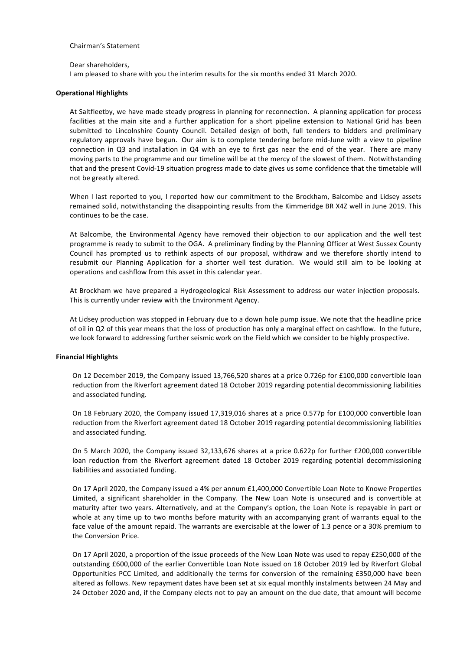#### Chairman's Statement

Dear shareholders.

I am pleased to share with you the interim results for the six months ended 31 March 2020.

#### **Operational Highlights**

At Saltfleetby, we have made steady progress in planning for reconnection. A planning application for process facilities at the main site and a further application for a short pipeline extension to National Grid has been submitted to Lincolnshire County Council. Detailed design of both, full tenders to bidders and preliminary regulatory approvals have begun. Our aim is to complete tendering before mid-June with a view to pipeline connection in Q3 and installation in Q4 with an eye to first gas near the end of the year. There are many moving parts to the programme and our timeline will be at the mercy of the slowest of them. Notwithstanding that and the present Covid-19 situation progress made to date gives us some confidence that the timetable will not be greatly altered.

When I last reported to you, I reported how our commitment to the Brockham, Balcombe and Lidsey assets remained solid, notwithstanding the disappointing results from the Kimmeridge BR X4Z well in June 2019. This continues to be the case.

At Balcombe, the Environmental Agency have removed their objection to our application and the well test programme is ready to submit to the OGA. A preliminary finding by the Planning Officer at West Sussex County Council has prompted us to rethink aspects of our proposal, withdraw and we therefore shortly intend to resubmit our Planning Application for a shorter well test duration. We would still aim to be looking at operations and cashflow from this asset in this calendar year.

At Brockham we have prepared a Hydrogeological Risk Assessment to address our water injection proposals. This is currently under review with the Environment Agency.

At Lidsey production was stopped in February due to a down hole pump issue. We note that the headline price of oil in Q2 of this year means that the loss of production has only a marginal effect on cashflow. In the future, we look forward to addressing further seismic work on the Field which we consider to be highly prospective.

#### **Financial Highlights**

On 12 December 2019, the Company issued 13,766,520 shares at a price 0.726p for £100,000 convertible loan reduction from the Riverfort agreement dated 18 October 2019 regarding potential decommissioning liabilities and associated funding.

On 18 February 2020, the Company issued 17,319,016 shares at a price 0.577p for £100,000 convertible loan reduction from the Riverfort agreement dated 18 October 2019 regarding potential decommissioning liabilities and associated funding.

On 5 March 2020, the Company issued 32,133,676 shares at a price 0.622p for further £200,000 convertible loan reduction from the Riverfort agreement dated 18 October 2019 regarding potential decommissioning liabilities and associated funding.

On 17 April 2020, the Company issued a 4% per annum £1,400,000 Convertible Loan Note to Knowe Properties Limited, a significant shareholder in the Company. The New Loan Note is unsecured and is convertible at maturity after two years. Alternatively, and at the Company's option, the Loan Note is repayable in part or whole at any time up to two months before maturity with an accompanying grant of warrants equal to the face value of the amount repaid. The warrants are exercisable at the lower of 1.3 pence or a 30% premium to the Conversion Price.

On 17 April 2020, a proportion of the issue proceeds of the New Loan Note was used to repay £250,000 of the outstanding £600,000 of the earlier Convertible Loan Note issued on 18 October 2019 led by Riverfort Global Opportunities PCC Limited, and additionally the terms for conversion of the remaining £350,000 have been altered as follows. New repayment dates have been set at six equal monthly instalments between 24 May and 24 October 2020 and, if the Company elects not to pay an amount on the due date, that amount will become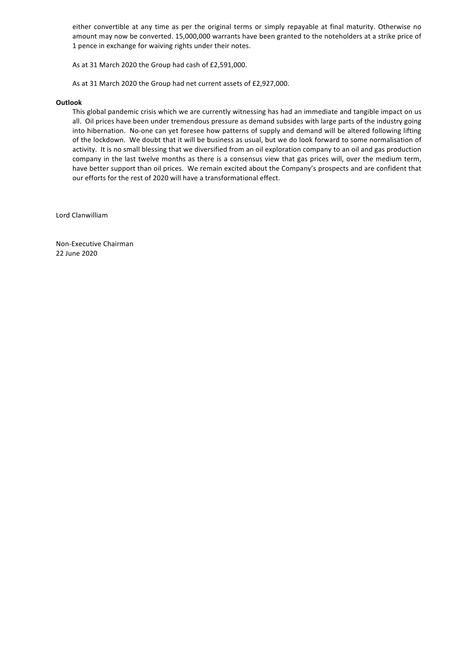either convertible at any time as per the original terms or simply repayable at final maturity. Otherwise no amount may now be converted. 15,000,000 warrants have been granted to the noteholders at a strike price of 1 pence in exchange for waiving rights under their notes.

As at 31 March 2020 the Group had cash of £2,591,000.

As at 31 March 2020 the Group had net current assets of £2,927,000.

#### **Outlook**

This global pandemic crisis which we are currently witnessing has had an immediate and tangible impact on us all. Oil prices have been under tremendous pressure as demand subsides with large parts of the industry going into hibernation. No-one can yet foresee how patterns of supply and demand will be altered following lifting of the lockdown. We doubt that it will be business as usual, but we do look forward to some normalisation of activity. It is no small blessing that we diversified from an oil exploration company to an oil and gas production company in the last twelve months as there is a consensus view that gas prices will, over the medium term, have better support than oil prices. We remain excited about the Company's prospects and are confident that our efforts for the rest of 2020 will have a transformational effect.

Lord Clanwilliam

Non-Executive Chairman 22 June 2020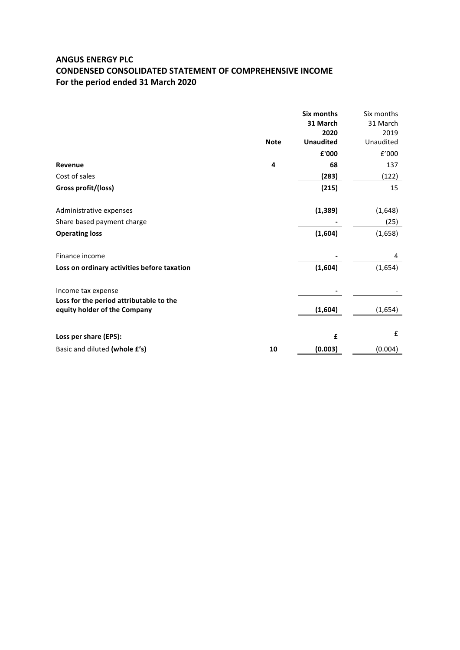## **ANGUS ENERGY PLC CONDENSED CONSOLIDATED STATEMENT OF COMPREHENSIVE INCOME** For the period ended 31 March 2020

|                                                                         |             | <b>Six months</b><br>31 March<br>2020 | Six months<br>31 March<br>2019 |
|-------------------------------------------------------------------------|-------------|---------------------------------------|--------------------------------|
|                                                                         | <b>Note</b> | <b>Unaudited</b>                      | Unaudited                      |
|                                                                         |             | £'000                                 | f'000                          |
| <b>Revenue</b>                                                          | 4           | 68                                    | 137                            |
| Cost of sales                                                           |             | (283)                                 | (122)                          |
| Gross profit/(loss)                                                     |             | (215)                                 | 15                             |
| Administrative expenses                                                 |             | (1, 389)                              | (1,648)                        |
| Share based payment charge                                              |             |                                       | (25)                           |
| <b>Operating loss</b>                                                   |             | (1,604)                               | (1,658)                        |
| Finance income                                                          |             |                                       | 4                              |
| Loss on ordinary activities before taxation                             |             | (1,604)                               | (1,654)                        |
| Income tax expense                                                      |             |                                       |                                |
| Loss for the period attributable to the<br>equity holder of the Company |             | (1,604)                               | (1,654)                        |
|                                                                         |             |                                       |                                |
| Loss per share (EPS):                                                   |             | £                                     | £                              |
| Basic and diluted (whole £'s)                                           | 10          | (0.003)                               | (0.004)                        |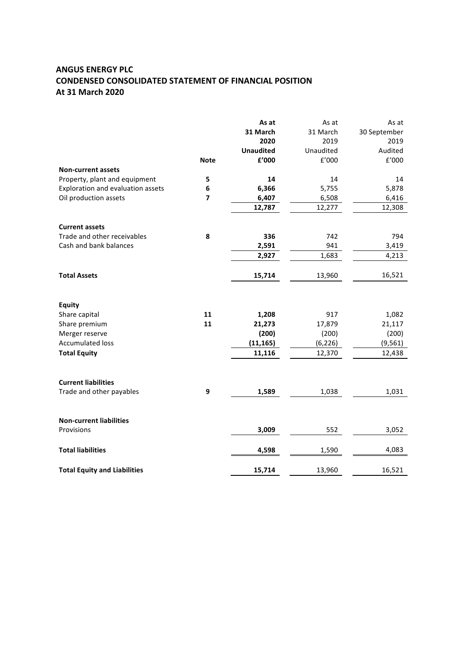# **ANGUS ENERGY PLC CONDENSED CONSOLIDATED STATEMENT OF FINANCIAL POSITION At 31 March 2020**

|                                     |                | As at            | As at          | As at          |
|-------------------------------------|----------------|------------------|----------------|----------------|
|                                     |                | 31 March         | 31 March       | 30 September   |
|                                     |                | 2020             | 2019           | 2019           |
|                                     |                | <b>Unaudited</b> | Unaudited      | Audited        |
|                                     | <b>Note</b>    | £'000            | $\text{f}'000$ | $\text{f}'000$ |
| <b>Non-current assets</b>           |                |                  |                |                |
| Property, plant and equipment       | 5              | 14               | 14             | 14             |
| Exploration and evaluation assets   | 6              | 6,366            | 5,755          | 5,878          |
| Oil production assets               | $\overline{7}$ | 6,407            | 6,508          | 6,416          |
|                                     |                | 12,787           | 12,277         | 12,308         |
| <b>Current assets</b>               |                |                  |                |                |
| Trade and other receivables         | 8              | 336              | 742            | 794            |
| Cash and bank balances              |                | 2,591            | 941            | 3,419          |
|                                     |                | 2,927            | 1,683          | 4,213          |
| <b>Total Assets</b>                 |                | 15,714           | 13,960         | 16,521         |
| <b>Equity</b>                       |                |                  |                |                |
| Share capital                       | 11             | 1,208            | 917            | 1,082          |
| Share premium                       | 11             | 21,273           | 17,879         | 21,117         |
| Merger reserve                      |                | (200)            | (200)          | (200)          |
| <b>Accumulated loss</b>             |                | (11, 165)        | (6, 226)       | (9, 561)       |
| <b>Total Equity</b>                 |                | 11,116           | 12,370         | 12,438         |
| <b>Current liabilities</b>          |                |                  |                |                |
| Trade and other payables            | 9              | 1,589            | 1,038          | 1,031          |
|                                     |                |                  |                |                |
| <b>Non-current liabilities</b>      |                |                  |                |                |
| Provisions                          |                | 3,009            | 552            | 3,052          |
| <b>Total liabilities</b>            |                | 4,598            | 1,590          | 4,083          |
| <b>Total Equity and Liabilities</b> |                | 15,714           | 13,960         | 16,521         |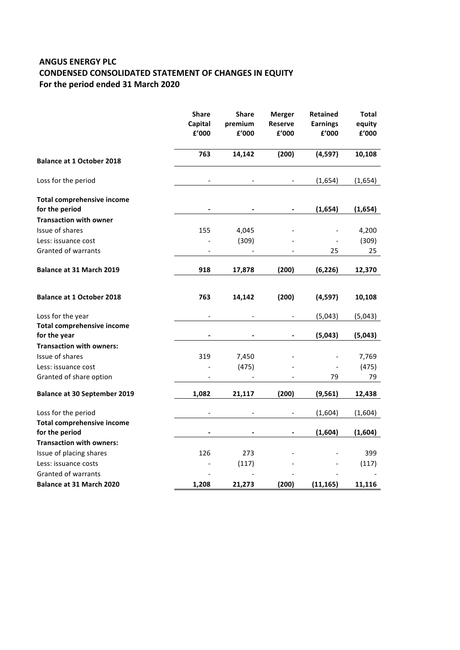# **ANGUS ENERGY PLC CONDENSED CONSOLIDATED STATEMENT OF CHANGES IN EQUITY** For the period ended 31 March 2020

|                                                     | <b>Share</b><br>Capital<br>£'000 | <b>Share</b><br>premium<br>£'000 | <b>Merger</b><br>Reserve<br>£'000 | <b>Retained</b><br><b>Earnings</b><br>£'000 | <b>Total</b><br>equity<br>£'000 |
|-----------------------------------------------------|----------------------------------|----------------------------------|-----------------------------------|---------------------------------------------|---------------------------------|
| <b>Balance at 1 October 2018</b>                    | 763                              | 14,142                           | (200)                             | (4, 597)                                    | 10,108                          |
| Loss for the period                                 |                                  |                                  |                                   | (1,654)                                     | (1,654)                         |
| <b>Total comprehensive income</b><br>for the period |                                  |                                  |                                   | (1,654)                                     | (1,654)                         |
| <b>Transaction with owner</b>                       |                                  |                                  |                                   |                                             |                                 |
| Issue of shares                                     | 155                              | 4,045                            |                                   |                                             | 4,200                           |
| Less: issuance cost                                 |                                  | (309)                            |                                   |                                             | (309)                           |
| Granted of warrants                                 |                                  |                                  |                                   | 25                                          | 25                              |
| <b>Balance at 31 March 2019</b>                     | 918                              | 17,878                           | (200)                             | (6, 226)                                    | 12,370                          |
| <b>Balance at 1 October 2018</b>                    | 763                              | 14,142                           | (200)                             | (4, 597)                                    | 10,108                          |
| Loss for the year                                   |                                  |                                  |                                   | (5,043)                                     | (5,043)                         |
| <b>Total comprehensive income</b><br>for the year   |                                  |                                  |                                   | (5,043)                                     | (5,043)                         |
| <b>Transaction with owners:</b>                     |                                  |                                  |                                   |                                             |                                 |
| Issue of shares                                     | 319                              | 7,450                            |                                   |                                             | 7,769                           |
| Less: issuance cost                                 |                                  | (475)                            |                                   |                                             | (475)                           |
| Granted of share option                             |                                  |                                  |                                   | 79                                          | 79                              |
| <b>Balance at 30 September 2019</b>                 | 1,082                            | 21,117                           | (200)                             | (9, 561)                                    | 12,438                          |
| Loss for the period                                 |                                  |                                  |                                   | (1,604)                                     | (1,604)                         |
| <b>Total comprehensive income</b>                   |                                  |                                  |                                   |                                             |                                 |
| for the period                                      |                                  |                                  |                                   | (1,604)                                     | (1,604)                         |
| <b>Transaction with owners:</b>                     |                                  |                                  |                                   |                                             |                                 |
| Issue of placing shares                             | 126                              | 273                              |                                   |                                             | 399                             |
| Less: issuance costs                                |                                  | (117)                            |                                   |                                             | (117)                           |
| Granted of warrants                                 |                                  |                                  |                                   |                                             |                                 |
| Balance at 31 March 2020                            | 1,208                            | 21,273                           | (200)                             | (11, 165)                                   | 11,116                          |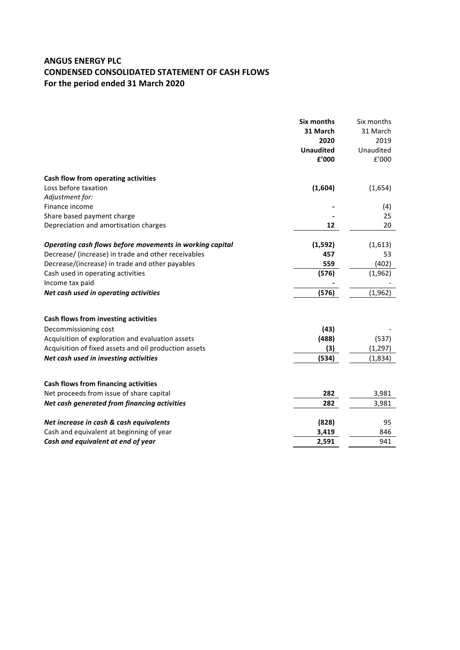# **ANGUS ENERGY PLC CONDENSED CONSOLIDATED STATEMENT OF CASH FLOWS** For the period ended 31 March 2020

|                                                          | Six months<br>31 March<br>2020<br><b>Unaudited</b><br>£'000 | Six months<br>31 March<br>2019<br>Unaudited<br>f'000 |
|----------------------------------------------------------|-------------------------------------------------------------|------------------------------------------------------|
| Cash flow from operating activities                      |                                                             |                                                      |
| Loss before taxation                                     | (1,604)                                                     | (1,654)                                              |
| Adjustment for:                                          |                                                             |                                                      |
| Finance income                                           |                                                             | (4)                                                  |
| Share based payment charge                               |                                                             | 25                                                   |
| Depreciation and amortisation charges                    | 12                                                          | 20                                                   |
| Operating cash flows before movements in working capital | (1, 592)                                                    | (1,613)                                              |
| Decrease/ (increase) in trade and other receivables      | 457                                                         | 53                                                   |
| Decrease/(increase) in trade and other payables          | 559                                                         | (402)                                                |
| Cash used in operating activities                        | (576)                                                       | (1, 962)                                             |
| Income tax paid                                          |                                                             |                                                      |
| Net cash used in operating activities                    | (576)                                                       | (1, 962)                                             |
| Cash flows from investing activities                     |                                                             |                                                      |
| Decommissioning cost                                     | (43)                                                        |                                                      |
| Acquisition of exploration and evaluation assets         | (488)                                                       | (537)                                                |
| Acquisition of fixed assets and oil production assets    | (3)                                                         | (1, 297)                                             |
| Net cash used in investing activities                    | (534)                                                       |                                                      |
|                                                          |                                                             | (1,834)                                              |
| <b>Cash flows from financing activities</b>              |                                                             |                                                      |
| Net proceeds from issue of share capital                 | 282                                                         | 3,981                                                |
| Net cash generated from financing activities             | 282                                                         | 3,981                                                |
| Net increase in cash & cash equivalents                  | (828)                                                       | 95                                                   |
| Cash and equivalent at beginning of year                 | 3,419                                                       | 846                                                  |
| Cash and equivalent at end of year                       | 2,591                                                       | 941                                                  |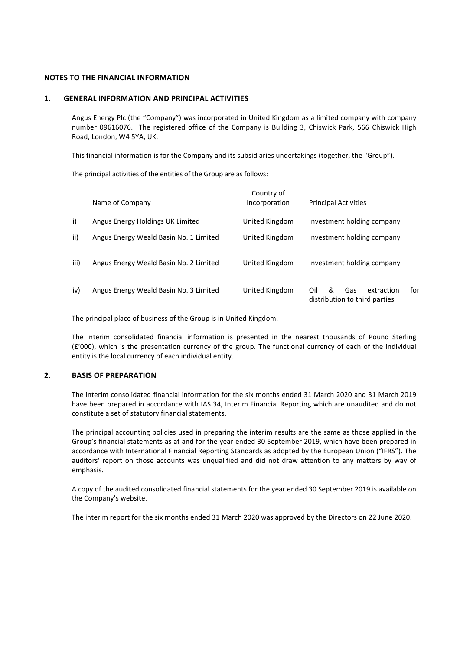#### **NOTES TO THE FINANCIAL INFORMATION**

#### **1. GENERAL INFORMATION AND PRINCIPAL ACTIVITIES**

Angus Energy Plc (the "Company") was incorporated in United Kingdom as a limited company with company number 09616076. The registered office of the Company is Building 3, Chiswick Park, 566 Chiswick High Road, London, W4 5YA, UK.

This financial information is for the Company and its subsidiaries undertakings (together, the "Group").

The principal activities of the entities of the Group are as follows:

|      | Name of Company                        | Country of<br>Incorporation | <b>Principal Activities</b>                                           |
|------|----------------------------------------|-----------------------------|-----------------------------------------------------------------------|
| i)   | Angus Energy Holdings UK Limited       | United Kingdom              | Investment holding company                                            |
| ii)  | Angus Energy Weald Basin No. 1 Limited | United Kingdom              | Investment holding company                                            |
| iii) | Angus Energy Weald Basin No. 2 Limited | United Kingdom              | Investment holding company                                            |
| iv)  | Angus Energy Weald Basin No. 3 Limited | United Kingdom              | Oil<br>&<br>Gas<br>extraction<br>for<br>distribution to third parties |

The principal place of business of the Group is in United Kingdom.

The interim consolidated financial information is presented in the nearest thousands of Pound Sterling  $(E'000)$ , which is the presentation currency of the group. The functional currency of each of the individual entity is the local currency of each individual entity.

### **2. BASIS OF PREPARATION**

The interim consolidated financial information for the six months ended 31 March 2020 and 31 March 2019 have been prepared in accordance with IAS 34, Interim Financial Reporting which are unaudited and do not constitute a set of statutory financial statements.

The principal accounting policies used in preparing the interim results are the same as those applied in the Group's financial statements as at and for the year ended 30 September 2019, which have been prepared in accordance with International Financial Reporting Standards as adopted by the European Union ("IFRS"). The auditors' report on those accounts was unqualified and did not draw attention to any matters by way of emphasis.

A copy of the audited consolidated financial statements for the year ended 30 September 2019 is available on the Company's website.

The interim report for the six months ended 31 March 2020 was approved by the Directors on 22 June 2020.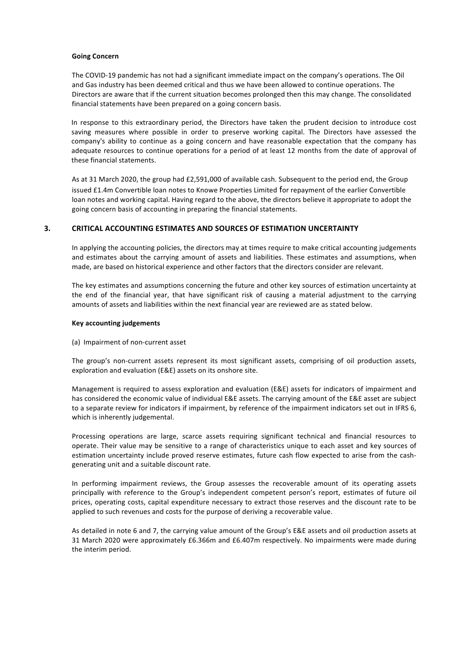#### **Going Concern**

The COVID-19 pandemic has not had a significant immediate impact on the company's operations. The Oil and Gas industry has been deemed critical and thus we have been allowed to continue operations. The Directors are aware that if the current situation becomes prolonged then this may change. The consolidated financial statements have been prepared on a going concern basis.

In response to this extraordinary period, the Directors have taken the prudent decision to introduce cost saving measures where possible in order to preserve working capital. The Directors have assessed the company's ability to continue as a going concern and have reasonable expectation that the company has adequate resources to continue operations for a period of at least 12 months from the date of approval of these financial statements.

As at 31 March 2020, the group had £2,591,000 of available cash. Subsequent to the period end, the Group issued £1.4m Convertible loan notes to Knowe Properties Limited for repayment of the earlier Convertible loan notes and working capital. Having regard to the above, the directors believe it appropriate to adopt the going concern basis of accounting in preparing the financial statements.

#### **3. CRITICAL ACCOUNTING ESTIMATES AND SOURCES OF ESTIMATION UNCERTAINTY**

In applying the accounting policies, the directors may at times require to make critical accounting judgements and estimates about the carrying amount of assets and liabilities. These estimates and assumptions, when made, are based on historical experience and other factors that the directors consider are relevant.

The key estimates and assumptions concerning the future and other key sources of estimation uncertainty at the end of the financial year, that have significant risk of causing a material adjustment to the carrying amounts of assets and liabilities within the next financial year are reviewed are as stated below.

#### **Key accounting judgements**

(a) Impairment of non-current asset

The group's non-current assets represent its most significant assets, comprising of oil production assets, exploration and evaluation (E&E) assets on its onshore site.

Management is required to assess exploration and evaluation (E&E) assets for indicators of impairment and has considered the economic value of individual E&E assets. The carrying amount of the E&E asset are subject to a separate review for indicators if impairment, by reference of the impairment indicators set out in IFRS 6, which is inherently judgemental.

Processing operations are large, scarce assets requiring significant technical and financial resources to operate. Their value may be sensitive to a range of characteristics unique to each asset and key sources of estimation uncertainty include proved reserve estimates, future cash flow expected to arise from the cashgenerating unit and a suitable discount rate.

In performing impairment reviews, the Group assesses the recoverable amount of its operating assets principally with reference to the Group's independent competent person's report, estimates of future oil prices, operating costs, capital expenditure necessary to extract those reserves and the discount rate to be applied to such revenues and costs for the purpose of deriving a recoverable value.

As detailed in note 6 and 7, the carrying value amount of the Group's E&E assets and oil production assets at 31 March 2020 were approximately £6.366m and £6.407m respectively. No impairments were made during the interim period.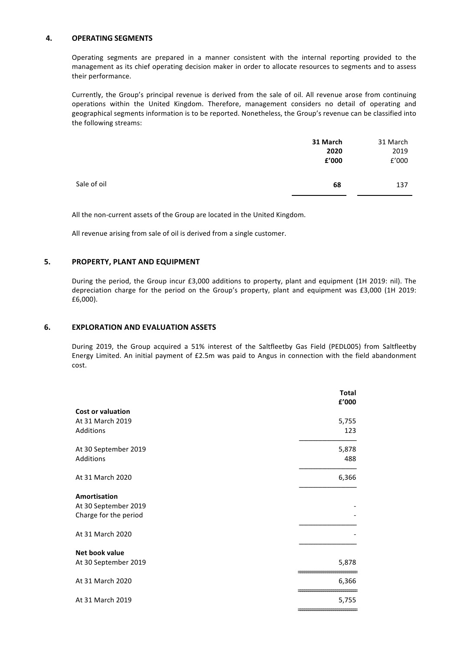### **4. OPERATING SEGMENTS**

Operating segments are prepared in a manner consistent with the internal reporting provided to the management as its chief operating decision maker in order to allocate resources to segments and to assess their performance.

Currently, the Group's principal revenue is derived from the sale of oil. All revenue arose from continuing operations within the United Kingdom. Therefore, management considers no detail of operating and geographical segments information is to be reported. Nonetheless, the Group's revenue can be classified into the following streams:

|             | 31 March<br>2020<br>£'000 | 31 March<br>2019<br>£'000 |
|-------------|---------------------------|---------------------------|
| Sale of oil | 68                        | 137                       |

All the non-current assets of the Group are located in the United Kingdom.

All revenue arising from sale of oil is derived from a single customer.

### **5. PROPERTY, PLANT AND EQUIPMENT**

During the period, the Group incur £3,000 additions to property, plant and equipment (1H 2019: nil). The depreciation charge for the period on the Group's property, plant and equipment was £3,000 (1H 2019: £6,000).

#### **6. EXPLORATION AND EVALUATION ASSETS**

During 2019, the Group acquired a 51% interest of the Saltfleetby Gas Field (PEDL005) from Saltfleetby Energy Limited. An initial payment of £2.5m was paid to Angus in connection with the field abandonment cost.

|                          | <b>Total</b><br>£'000 |
|--------------------------|-----------------------|
| <b>Cost or valuation</b> |                       |
| At 31 March 2019         | 5,755                 |
| <b>Additions</b>         | 123                   |
| At 30 September 2019     | 5,878                 |
| Additions                | 488                   |
| At 31 March 2020         | 6,366                 |
| Amortisation             |                       |
| At 30 September 2019     |                       |
| Charge for the period    |                       |
| At 31 March 2020         |                       |
| Net book value           |                       |
| At 30 September 2019     | 5,878                 |
| At 31 March 2020         | 6,366                 |
| At 31 March 2019         | 5,755                 |
|                          |                       |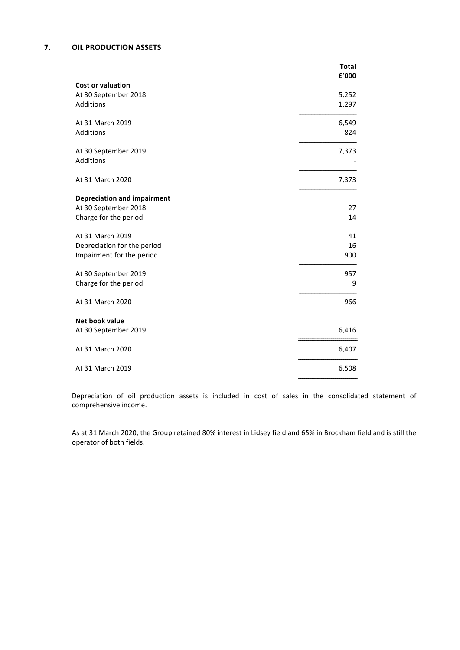## **7. OIL PRODUCTION ASSETS**

|                                                  | <b>Total</b> |
|--------------------------------------------------|--------------|
|                                                  | £'000        |
| <b>Cost or valuation</b><br>At 30 September 2018 | 5,252        |
| Additions                                        | 1,297        |
|                                                  |              |
| At 31 March 2019                                 | 6,549        |
| Additions                                        | 824          |
|                                                  |              |
| At 30 September 2019                             | 7,373        |
| Additions                                        |              |
| At 31 March 2020                                 |              |
|                                                  | 7,373        |
| <b>Depreciation and impairment</b>               |              |
| At 30 September 2018                             | 27           |
| Charge for the period                            | 14           |
|                                                  |              |
| At 31 March 2019                                 | 41           |
| Depreciation for the period                      | 16           |
| Impairment for the period                        | 900          |
| At 30 September 2019                             | 957          |
| Charge for the period                            | 9            |
|                                                  |              |
| At 31 March 2020                                 | 966          |
|                                                  |              |
| <b>Net book value</b>                            |              |
| At 30 September 2019                             | 6,416        |
| At 31 March 2020                                 | 6,407        |
|                                                  |              |
| At 31 March 2019                                 | 6,508        |
|                                                  |              |

Depreciation of oil production assets is included in cost of sales in the consolidated statement of comprehensive income.

As at 31 March 2020, the Group retained 80% interest in Lidsey field and 65% in Brockham field and is still the operator of both fields.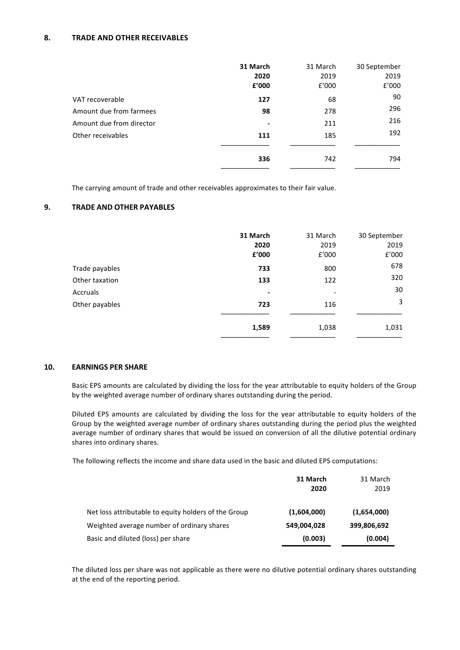## **8. TRADE AND OTHER RECEIVABLES**

|                          | 31 March                 | 31 March | 30 September |
|--------------------------|--------------------------|----------|--------------|
|                          | 2020                     | 2019     | 2019         |
|                          | £'000                    | £'000    | £'000        |
| VAT recoverable          | 127                      | 68       | 90           |
| Amount due from farmees  | 98                       | 278      | 296          |
| Amount due from director | $\overline{\phantom{a}}$ | 211      | 216          |
| Other receivables        | 111                      | 185      | 192          |
|                          | 336                      | 742      | 794          |
|                          |                          |          |              |

The carrying amount of trade and other receivables approximates to their fair value.

## **9.** TRADE AND OTHER PAYABLES

|                | 31 March<br>2020<br>£'000 | 31 March<br>2019<br>£'000 | 30 September<br>2019<br>£'000 |
|----------------|---------------------------|---------------------------|-------------------------------|
| Trade payables | 733                       | 800                       | 678                           |
| Other taxation | 133                       | 122                       | 320                           |
| Accruals       | ٠                         |                           | 30                            |
| Other payables | 723                       | 116                       | 3                             |
|                | 1,589                     | 1,038                     | 1,031                         |

#### **10. EARNINGS PER SHARE**

Basic EPS amounts are calculated by dividing the loss for the year attributable to equity holders of the Group by the weighted average number of ordinary shares outstanding during the period.

Diluted EPS amounts are calculated by dividing the loss for the year attributable to equity holders of the Group by the weighted average number of ordinary shares outstanding during the period plus the weighted average number of ordinary shares that would be issued on conversion of all the dilutive potential ordinary shares into ordinary shares.

The following reflects the income and share data used in the basic and diluted EPS computations:

|                                                      | 31 March    | 31 March    |
|------------------------------------------------------|-------------|-------------|
|                                                      | 2020        | 2019        |
| Net loss attributable to equity holders of the Group | (1,604,000) | (1,654,000) |
| Weighted average number of ordinary shares           | 549,004,028 | 399,806,692 |
| Basic and diluted (loss) per share                   | (0.003)     | (0.004)     |

The diluted loss per share was not applicable as there were no dilutive potential ordinary shares outstanding at the end of the reporting period.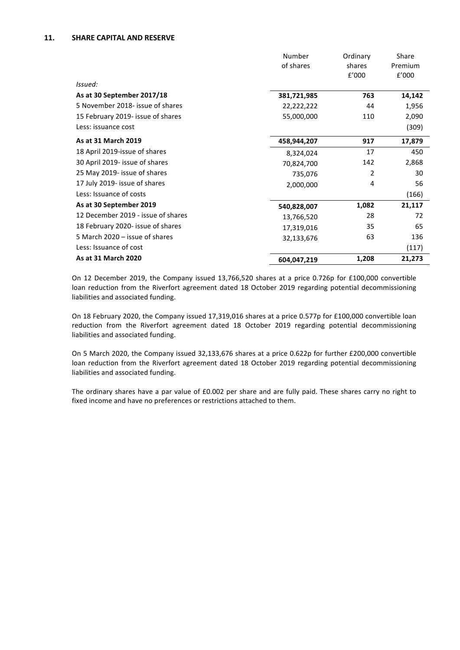### **11. SHARE CAPITAL AND RESERVE**

|                                    | Number      | Ordinary       | Share   |
|------------------------------------|-------------|----------------|---------|
|                                    | of shares   | shares         | Premium |
|                                    |             | £'000          | f'000   |
| Issued:                            |             |                |         |
| As at 30 September 2017/18         | 381,721,985 | 763            | 14,142  |
| 5 November 2018- issue of shares   | 22,222,222  | 44             | 1,956   |
| 15 February 2019- issue of shares  | 55,000,000  | 110            | 2,090   |
| Less: issuance cost                |             |                | (309)   |
| As at 31 March 2019                | 458,944,207 | 917            | 17,879  |
| 18 April 2019-issue of shares      | 8,324,024   | 17             | 450     |
| 30 April 2019- issue of shares     | 70,824,700  | 142            | 2,868   |
| 25 May 2019- issue of shares       | 735,076     | $\overline{2}$ | 30      |
| 17 July 2019- issue of shares      | 2,000,000   | 4              | 56      |
| Less: Issuance of costs            |             |                | (166)   |
| As at 30 September 2019            | 540,828,007 | 1,082          | 21,117  |
| 12 December 2019 - issue of shares | 13,766,520  | 28             | 72      |
| 18 February 2020- issue of shares  | 17,319,016  | 35             | 65      |
| 5 March 2020 – issue of shares     | 32,133,676  | 63             | 136     |
| Less: Issuance of cost             |             |                | (117)   |
| As at 31 March 2020                | 604,047,219 | 1,208          | 21,273  |

On 12 December 2019, the Company issued 13,766,520 shares at a price 0.726p for £100,000 convertible loan reduction from the Riverfort agreement dated 18 October 2019 regarding potential decommissioning liabilities and associated funding.

On 18 February 2020, the Company issued 17,319,016 shares at a price 0.577p for £100,000 convertible loan reduction from the Riverfort agreement dated 18 October 2019 regarding potential decommissioning liabilities and associated funding.

On 5 March 2020, the Company issued 32,133,676 shares at a price 0.622p for further £200,000 convertible loan reduction from the Riverfort agreement dated 18 October 2019 regarding potential decommissioning liabilities and associated funding.

The ordinary shares have a par value of £0.002 per share and are fully paid. These shares carry no right to fixed income and have no preferences or restrictions attached to them.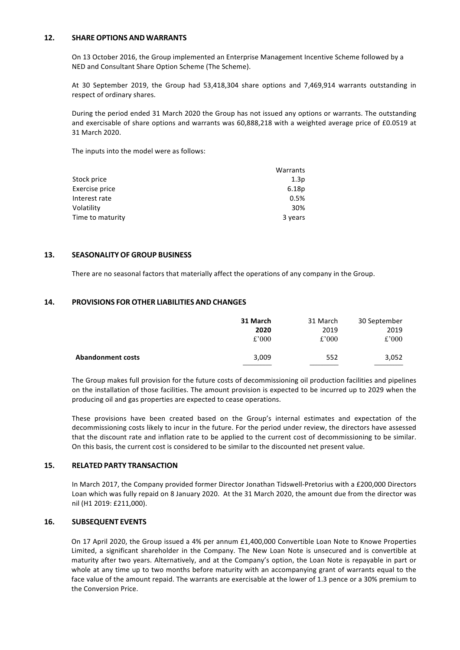### **12. SHARE OPTIONS AND WARRANTS**

On 13 October 2016, the Group implemented an Enterprise Management Incentive Scheme followed by a NED and Consultant Share Option Scheme (The Scheme).

At 30 September 2019, the Group had 53,418,304 share options and 7,469,914 warrants outstanding in respect of ordinary shares.

During the period ended 31 March 2020 the Group has not issued any options or warrants. The outstanding and exercisable of share options and warrants was 60,888,218 with a weighted average price of £0.0519 at 31 March 2020. 

The inputs into the model were as follows:

|                  | Warrants |
|------------------|----------|
| Stock price      | 1.3p     |
| Exercise price   | 6.18p    |
| Interest rate    | 0.5%     |
| Volatility       | 30%      |
| Time to maturity | 3 years  |

### **13. SEASONALITY OF GROUP BUSINESS**

There are no seasonal factors that materially affect the operations of any company in the Group.

## **14. PROVISIONS FOR OTHER LIABILITIES AND CHANGES**

|                          | 31 March | 31 March | 30 September |
|--------------------------|----------|----------|--------------|
|                          | 2020     | 2019     | 2019         |
|                          | £'000    | £'000    | £'000        |
| <b>Abandonment costs</b> | 3,009    | 552      | 3,052        |

The Group makes full provision for the future costs of decommissioning oil production facilities and pipelines on the installation of those facilities. The amount provision is expected to be incurred up to 2029 when the producing oil and gas properties are expected to cease operations.

These provisions have been created based on the Group's internal estimates and expectation of the decommissioning costs likely to incur in the future. For the period under review, the directors have assessed that the discount rate and inflation rate to be applied to the current cost of decommissioning to be similar. On this basis, the current cost is considered to be similar to the discounted net present value.

#### **15. RELATED PARTY TRANSACTION**

In March 2017, the Company provided former Director Jonathan Tidswell-Pretorius with a £200,000 Directors Loan which was fully repaid on 8 January 2020. At the 31 March 2020, the amount due from the director was nil (H1 2019: £211,000).

## **16. SUBSEQUENT EVENTS**

On 17 April 2020, the Group issued a 4% per annum £1,400,000 Convertible Loan Note to Knowe Properties Limited, a significant shareholder in the Company. The New Loan Note is unsecured and is convertible at maturity after two years. Alternatively, and at the Company's option, the Loan Note is repayable in part or whole at any time up to two months before maturity with an accompanying grant of warrants equal to the face value of the amount repaid. The warrants are exercisable at the lower of 1.3 pence or a 30% premium to the Conversion Price